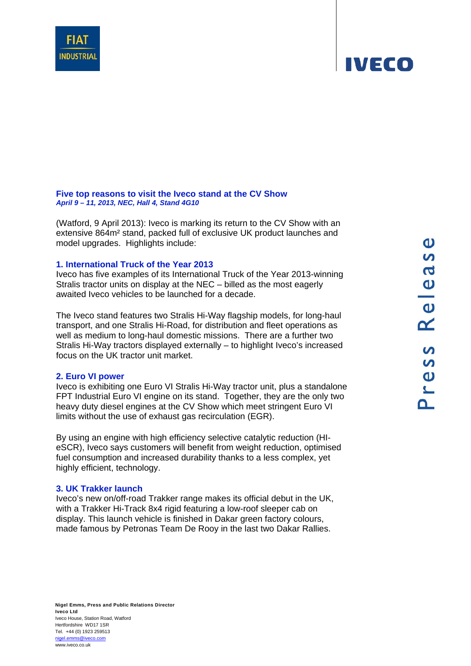**Five top reasons to visit the Iveco stand at the CV Show**  *April 9 – 11, 2013, NEC, Hall 4, Stand 4G10*

(Watford, 9 April 2013): Iveco is marking its return to the CV Show with an extensive 864m² stand, packed full of exclusive UK product launches and model upgrades. Highlights include:

### **1. International Truck of the Year 2013**

Iveco has five examples of its International Truck of the Year 2013-winning Stralis tractor units on display at the NEC – billed as the most eagerly awaited Iveco vehicles to be launched for a decade.

The Iveco stand features two Stralis Hi-Way flagship models, for long-haul transport, and one Stralis Hi-Road, for distribution and fleet operations as well as medium to long-haul domestic missions. There are a further two Stralis Hi-Way tractors displayed externally – to highlight Iveco's increased focus on the UK tractor unit market.

### **2. Euro VI power**

Iveco is exhibiting one Euro VI Stralis Hi-Way tractor unit, plus a standalone FPT Industrial Euro VI engine on its stand. Together, they are the only two heavy duty diesel engines at the CV Show which meet stringent Euro VI limits without the use of exhaust gas recirculation (EGR).

By using an engine with high efficiency selective catalytic reduction (HIeSCR), Iveco says customers will benefit from weight reduction, optimised fuel consumption and increased durability thanks to a less complex, yet highly efficient, technology.

### **3. UK Trakker launch**

Iveco's new on/off-road Trakker range makes its official debut in the UK, with a Trakker Hi-Track 8x4 rigid featuring a low-roof sleeper cab on display. This launch vehicle is finished in Dakar green factory colours, made famous by Petronas Team De Rooy in the last two Dakar Rallies.



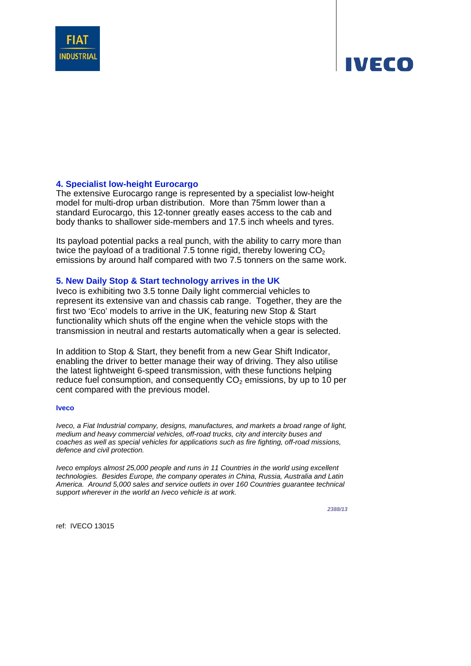

### **4. Specialist low-height Eurocargo**

The extensive Eurocargo range is represented by a specialist low-height model for multi-drop urban distribution. More than 75mm lower than a standard Eurocargo, this 12-tonner greatly eases access to the cab and body thanks to shallower side-members and 17.5 inch wheels and tyres.

Its payload potential packs a real punch, with the ability to carry more than twice the payload of a traditional 7.5 tonne rigid, thereby lowering  $CO<sub>2</sub>$ emissions by around half compared with two 7.5 tonners on the same work.

### **5. New Daily Stop & Start technology arrives in the UK**

Iveco is exhibiting two 3.5 tonne Daily light commercial vehicles to represent its extensive van and chassis cab range. Together, they are the first two 'Eco' models to arrive in the UK, featuring new Stop & Start functionality which shuts off the engine when the vehicle stops with the transmission in neutral and restarts automatically when a gear is selected.

In addition to Stop & Start, they benefit from a new Gear Shift Indicator, enabling the driver to better manage their way of driving. They also utilise the latest lightweight 6-speed transmission, with these functions helping reduce fuel consumption, and consequently  $CO<sub>2</sub>$  emissions, by up to 10 per cent compared with the previous model.

#### **Iveco**

*Iveco, a Fiat Industrial company, designs, manufactures, and markets a broad range of light, medium and heavy commercial vehicles, off-road trucks, city and intercity buses and coaches as well as special vehicles for applications such as fire fighting, off-road missions, defence and civil protection.* 

*Iveco employs almost 25,000 people and runs in 11 Countries in the world using excellent technologies. Besides Europe, the company operates in China, Russia, Australia and Latin America. Around 5,000 sales and service outlets in over 160 Countries guarantee technical support wherever in the world an Iveco vehicle is at work.* 

*2388/13*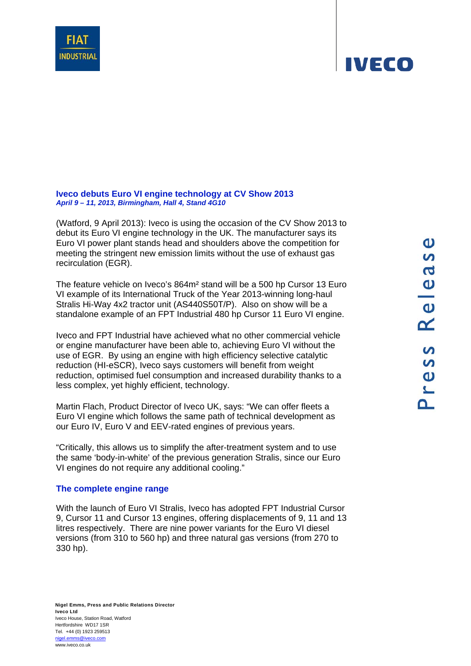**Iveco debuts Euro VI engine technology at CV Show 2013**  *April 9 – 11, 2013, Birmingham, Hall 4, Stand 4G10*

(Watford, 9 April 2013): Iveco is using the occasion of the CV Show 2013 to debut its Euro VI engine technology in the UK. The manufacturer says its Euro VI power plant stands head and shoulders above the competition for meeting the stringent new emission limits without the use of exhaust gas recirculation (EGR).

The feature vehicle on Iveco's 864m² stand will be a 500 hp Cursor 13 Euro VI example of its International Truck of the Year 2013-winning long-haul Stralis Hi-Way 4x2 tractor unit (AS440S50T/P). Also on show will be a standalone example of an FPT Industrial 480 hp Cursor 11 Euro VI engine.

Iveco and FPT Industrial have achieved what no other commercial vehicle or engine manufacturer have been able to, achieving Euro VI without the use of EGR. By using an engine with high efficiency selective catalytic reduction (HI-eSCR), Iveco says customers will benefit from weight reduction, optimised fuel consumption and increased durability thanks to a less complex, yet highly efficient, technology.

Martin Flach, Product Director of Iveco UK, says: "We can offer fleets a Euro VI engine which follows the same path of technical development as our Euro IV, Euro V and EEV-rated engines of previous years.

"Critically, this allows us to simplify the after-treatment system and to use the same 'body-in-white' of the previous generation Stralis, since our Euro VI engines do not require any additional cooling."

### **The complete engine range**

With the launch of Euro VI Stralis, Iveco has adopted FPT Industrial Cursor 9, Cursor 11 and Cursor 13 engines, offering displacements of 9, 11 and 13 litres respectively. There are nine power variants for the Euro VI diesel versions (from 310 to 560 hp) and three natural gas versions (from 270 to 330 hp).



### **IVECO**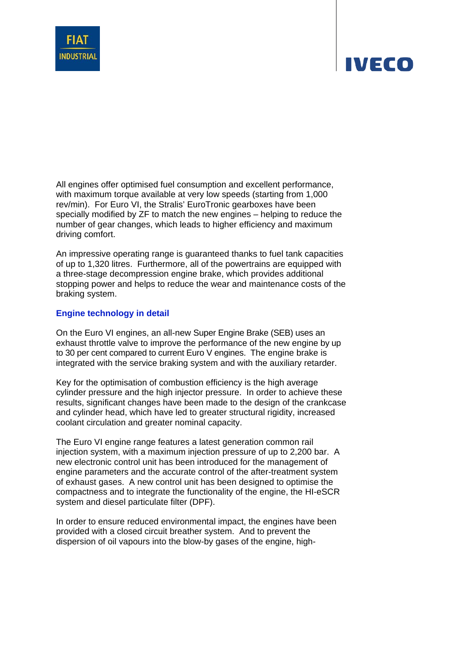

All engines offer optimised fuel consumption and excellent performance, with maximum torque available at very low speeds (starting from 1,000 rev/min). For Euro VI, the Stralis' EuroTronic gearboxes have been specially modified by ZF to match the new engines – helping to reduce the number of gear changes, which leads to higher efficiency and maximum driving comfort.

An impressive operating range is guaranteed thanks to fuel tank capacities of up to 1,320 litres. Furthermore, all of the powertrains are equipped with a three-stage decompression engine brake, which provides additional stopping power and helps to reduce the wear and maintenance costs of the braking system.

### **Engine technology in detail**

On the Euro VI engines, an all-new Super Engine Brake (SEB) uses an exhaust throttle valve to improve the performance of the new engine by up to 30 per cent compared to current Euro V engines. The engine brake is integrated with the service braking system and with the auxiliary retarder.

Key for the optimisation of combustion efficiency is the high average cylinder pressure and the high injector pressure. In order to achieve these results, significant changes have been made to the design of the crankcase and cylinder head, which have led to greater structural rigidity, increased coolant circulation and greater nominal capacity.

The Euro VI engine range features a latest generation common rail injection system, with a maximum injection pressure of up to 2,200 bar. A new electronic control unit has been introduced for the management of engine parameters and the accurate control of the after-treatment system of exhaust gases. A new control unit has been designed to optimise the compactness and to integrate the functionality of the engine, the HI-eSCR system and diesel particulate filter (DPF).

In order to ensure reduced environmental impact, the engines have been provided with a closed circuit breather system. And to prevent the dispersion of oil vapours into the blow-by gases of the engine, high-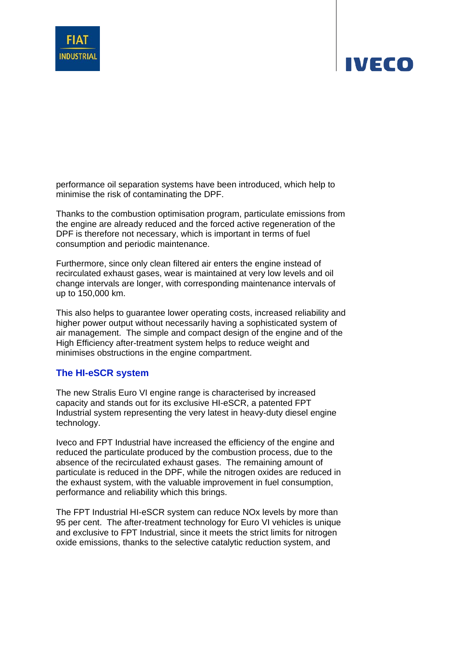

performance oil separation systems have been introduced, which help to minimise the risk of contaminating the DPF.

Thanks to the combustion optimisation program, particulate emissions from the engine are already reduced and the forced active regeneration of the DPF is therefore not necessary, which is important in terms of fuel consumption and periodic maintenance.

Furthermore, since only clean filtered air enters the engine instead of recirculated exhaust gases, wear is maintained at very low levels and oil change intervals are longer, with corresponding maintenance intervals of up to 150,000 km.

This also helps to guarantee lower operating costs, increased reliability and higher power output without necessarily having a sophisticated system of air management. The simple and compact design of the engine and of the High Efficiency after-treatment system helps to reduce weight and minimises obstructions in the engine compartment.

### **The HI-eSCR system**

The new Stralis Euro VI engine range is characterised by increased capacity and stands out for its exclusive HI-eSCR, a patented FPT Industrial system representing the very latest in heavy-duty diesel engine technology.

Iveco and FPT Industrial have increased the efficiency of the engine and reduced the particulate produced by the combustion process, due to the absence of the recirculated exhaust gases. The remaining amount of particulate is reduced in the DPF, while the nitrogen oxides are reduced in the exhaust system, with the valuable improvement in fuel consumption, performance and reliability which this brings.

The FPT Industrial HI-eSCR system can reduce NOx levels by more than 95 per cent. The after-treatment technology for Euro VI vehicles is unique and exclusive to FPT Industrial, since it meets the strict limits for nitrogen oxide emissions, thanks to the selective catalytic reduction system, and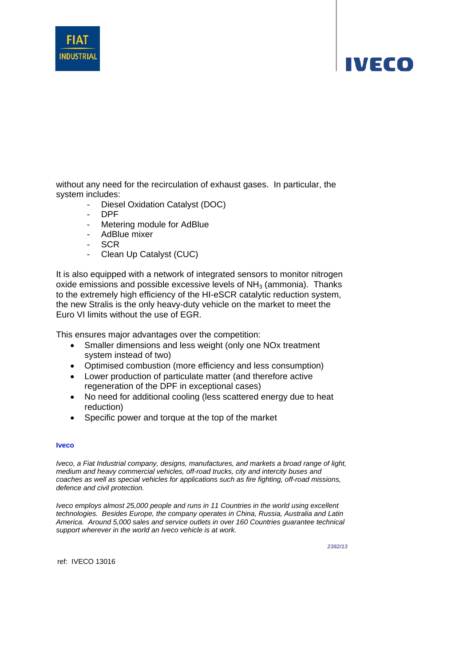

without any need for the recirculation of exhaust gases. In particular, the system includes:

- Diesel Oxidation Catalyst (DOC)
- DPF
- Metering module for AdBlue
- AdBlue mixer
- **SCR**
- Clean Up Catalyst (CUC)

It is also equipped with a network of integrated sensors to monitor nitrogen oxide emissions and possible excessive levels of  $NH<sub>3</sub>$  (ammonia). Thanks to the extremely high efficiency of the HI-eSCR catalytic reduction system, the new Stralis is the only heavy-duty vehicle on the market to meet the Euro VI limits without the use of EGR.

This ensures major advantages over the competition:

- Smaller dimensions and less weight (only one NOx treatment system instead of two)
- Optimised combustion (more efficiency and less consumption)
- Lower production of particulate matter (and therefore active regeneration of the DPF in exceptional cases)
- No need for additional cooling (less scattered energy due to heat reduction)
- Specific power and torque at the top of the market

#### **Iveco**

*Iveco, a Fiat Industrial company, designs, manufactures, and markets a broad range of light, medium and heavy commercial vehicles, off-road trucks, city and intercity buses and coaches as well as special vehicles for applications such as fire fighting, off-road missions, defence and civil protection.* 

*Iveco employs almost 25,000 people and runs in 11 Countries in the world using excellent technologies. Besides Europe, the company operates in China, Russia, Australia and Latin America. Around 5,000 sales and service outlets in over 160 Countries guarantee technical support wherever in the world an Iveco vehicle is at work.* 

*2382/13*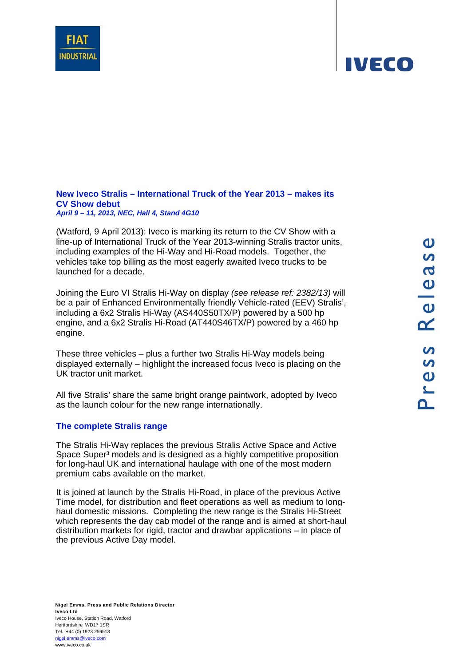**New Iveco Stralis – International Truck of the Year 2013 – makes its CV Show debut**  *April 9 – 11, 2013, NEC, Hall 4, Stand 4G10*

(Watford, 9 April 2013): Iveco is marking its return to the CV Show with a line-up of International Truck of the Year 2013-winning Stralis tractor units, including examples of the Hi-Way and Hi-Road models. Together, the vehicles take top billing as the most eagerly awaited Iveco trucks to be launched for a decade.

Joining the Euro VI Stralis Hi-Way on display *(see release ref: 2382/13)* will be a pair of Enhanced Environmentally friendly Vehicle-rated (EEV) Stralis', including a 6x2 Stralis Hi-Way (AS440S50TX/P) powered by a 500 hp engine, and a 6x2 Stralis Hi-Road (AT440S46TX/P) powered by a 460 hp engine.

These three vehicles – plus a further two Stralis Hi-Way models being displayed externally – highlight the increased focus Iveco is placing on the UK tractor unit market.

All five Stralis' share the same bright orange paintwork, adopted by Iveco as the launch colour for the new range internationally.

### **The complete Stralis range**

The Stralis Hi-Way replaces the previous Stralis Active Space and Active Space Super<sup>3</sup> models and is designed as a highly competitive proposition for long-haul UK and international haulage with one of the most modern premium cabs available on the market.

It is joined at launch by the Stralis Hi-Road, in place of the previous Active Time model, for distribution and fleet operations as well as medium to longhaul domestic missions. Completing the new range is the Stralis Hi-Street which represents the day cab model of the range and is aimed at short-haul distribution markets for rigid, tractor and drawbar applications – in place of the previous Active Day model.



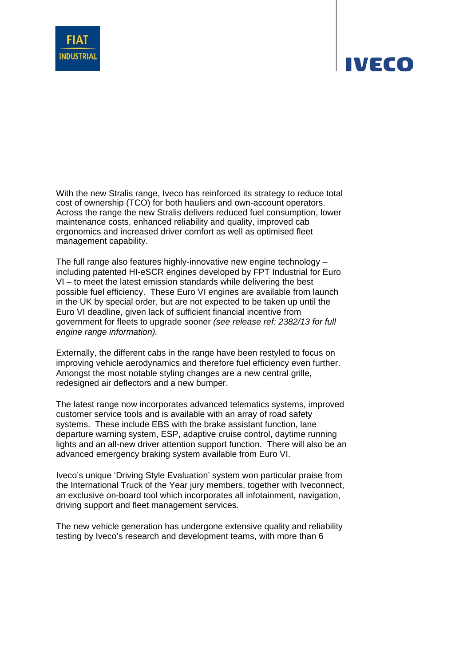



With the new Stralis range, Iveco has reinforced its strategy to reduce total cost of ownership (TCO) for both hauliers and own-account operators. Across the range the new Stralis delivers reduced fuel consumption, lower maintenance costs, enhanced reliability and quality, improved cab ergonomics and increased driver comfort as well as optimised fleet management capability.

The full range also features highly-innovative new engine technology – including patented HI-eSCR engines developed by FPT Industrial for Euro VI – to meet the latest emission standards while delivering the best possible fuel efficiency. These Euro VI engines are available from launch in the UK by special order, but are not expected to be taken up until the Euro VI deadline, given lack of sufficient financial incentive from government for fleets to upgrade sooner *(see release ref: 2382/13 for full engine range information).*

Externally, the different cabs in the range have been restyled to focus on improving vehicle aerodynamics and therefore fuel efficiency even further. Amongst the most notable styling changes are a new central grille, redesigned air deflectors and a new bumper.

The latest range now incorporates advanced telematics systems, improved customer service tools and is available with an array of road safety systems. These include EBS with the brake assistant function, lane departure warning system, ESP, adaptive cruise control, daytime running lights and an all-new driver attention support function. There will also be an advanced emergency braking system available from Euro VI.

Iveco's unique 'Driving Style Evaluation' system won particular praise from the International Truck of the Year jury members, together with Iveconnect, an exclusive on-board tool which incorporates all infotainment, navigation, driving support and fleet management services.

The new vehicle generation has undergone extensive quality and reliability testing by Iveco's research and development teams, with more than 6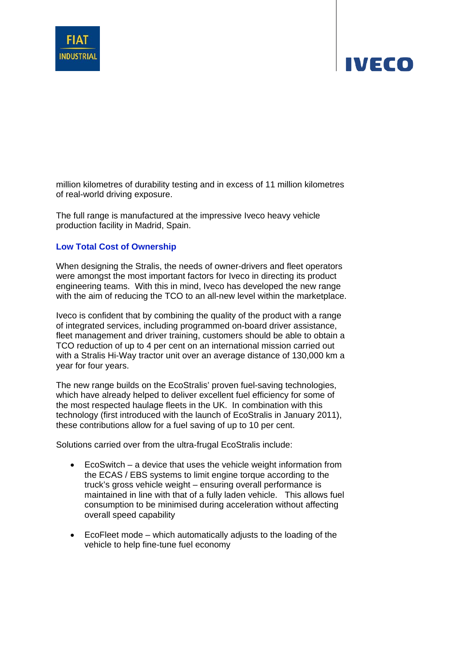

million kilometres of durability testing and in excess of 11 million kilometres of real-world driving exposure.

The full range is manufactured at the impressive Iveco heavy vehicle production facility in Madrid, Spain.

### **Low Total Cost of Ownership**

When designing the Stralis, the needs of owner-drivers and fleet operators were amongst the most important factors for Iveco in directing its product engineering teams. With this in mind, Iveco has developed the new range with the aim of reducing the TCO to an all-new level within the marketplace.

Iveco is confident that by combining the quality of the product with a range of integrated services, including programmed on-board driver assistance, fleet management and driver training, customers should be able to obtain a TCO reduction of up to 4 per cent on an international mission carried out with a Stralis Hi-Way tractor unit over an average distance of 130,000 km a year for four years.

The new range builds on the EcoStralis' proven fuel-saving technologies, which have already helped to deliver excellent fuel efficiency for some of the most respected haulage fleets in the UK. In combination with this technology (first introduced with the launch of EcoStralis in January 2011), these contributions allow for a fuel saving of up to 10 per cent.

Solutions carried over from the ultra-frugal EcoStralis include:

- EcoSwitch a device that uses the vehicle weight information from the ECAS / EBS systems to limit engine torque according to the truck's gross vehicle weight – ensuring overall performance is maintained in line with that of a fully laden vehicle. This allows fuel consumption to be minimised during acceleration without affecting overall speed capability
- EcoFleet mode which automatically adjusts to the loading of the vehicle to help fine-tune fuel economy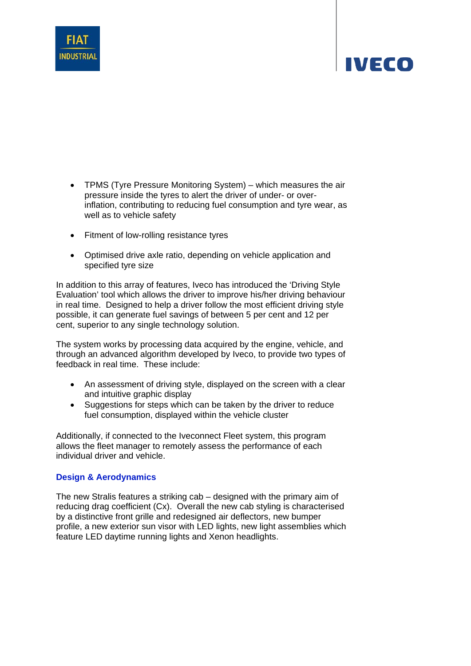

- TPMS (Tyre Pressure Monitoring System) which measures the air pressure inside the tyres to alert the driver of under- or overinflation, contributing to reducing fuel consumption and tyre wear, as well as to vehicle safety
- Fitment of low-rolling resistance tyres
- Optimised drive axle ratio, depending on vehicle application and specified tyre size

In addition to this array of features, Iveco has introduced the 'Driving Style Evaluation' tool which allows the driver to improve his/her driving behaviour in real time. Designed to help a driver follow the most efficient driving style possible, it can generate fuel savings of between 5 per cent and 12 per cent, superior to any single technology solution.

The system works by processing data acquired by the engine, vehicle, and through an advanced algorithm developed by Iveco, to provide two types of feedback in real time. These include:

- An assessment of driving style, displayed on the screen with a clear and intuitive graphic display
- Suggestions for steps which can be taken by the driver to reduce fuel consumption, displayed within the vehicle cluster

Additionally, if connected to the Iveconnect Fleet system, this program allows the fleet manager to remotely assess the performance of each individual driver and vehicle.

### **Design & Aerodynamics**

The new Stralis features a striking cab – designed with the primary aim of reducing drag coefficient (Cx). Overall the new cab styling is characterised by a distinctive front grille and redesigned air deflectors, new bumper profile, a new exterior sun visor with LED lights, new light assemblies which feature LED daytime running lights and Xenon headlights.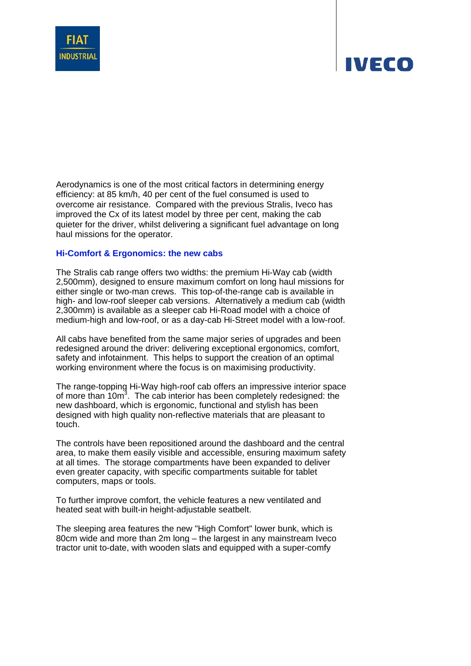

Aerodynamics is one of the most critical factors in determining energy efficiency: at 85 km/h, 40 per cent of the fuel consumed is used to overcome air resistance. Compared with the previous Stralis, Iveco has improved the Cx of its latest model by three per cent, making the cab quieter for the driver, whilst delivering a significant fuel advantage on long haul missions for the operator.

### **Hi-Comfort & Ergonomics: the new cabs**

The Stralis cab range offers two widths: the premium Hi-Way cab (width 2,500mm), designed to ensure maximum comfort on long haul missions for either single or two-man crews. This top-of-the-range cab is available in high- and low-roof sleeper cab versions. Alternatively a medium cab (width 2,300mm) is available as a sleeper cab Hi-Road model with a choice of medium-high and low-roof, or as a day-cab Hi-Street model with a low-roof.

All cabs have benefited from the same major series of upgrades and been redesigned around the driver: delivering exceptional ergonomics, comfort, safety and infotainment. This helps to support the creation of an optimal working environment where the focus is on maximising productivity.

The range-topping Hi-Way high-roof cab offers an impressive interior space of more than 10m<sup>3</sup>. The cab interior has been completely redesigned: the new dashboard, which is ergonomic, functional and stylish has been designed with high quality non-reflective materials that are pleasant to touch.

The controls have been repositioned around the dashboard and the central area, to make them easily visible and accessible, ensuring maximum safety at all times. The storage compartments have been expanded to deliver even greater capacity, with specific compartments suitable for tablet computers, maps or tools.

To further improve comfort, the vehicle features a new ventilated and heated seat with built-in height-adjustable seatbelt.

The sleeping area features the new "High Comfort" lower bunk, which is 80cm wide and more than 2m long – the largest in any mainstream Iveco tractor unit to-date, with wooden slats and equipped with a super-comfy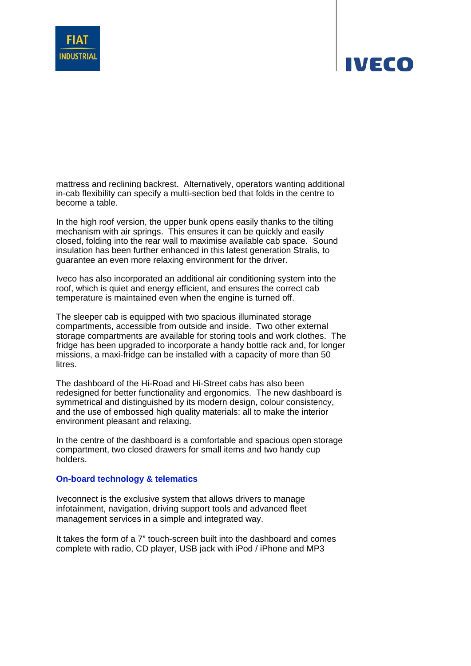



In the high roof version, the upper bunk opens easily thanks to the tilting mechanism with air springs. This ensures it can be quickly and easily closed, folding into the rear wall to maximise available cab space. Sound insulation has been further enhanced in this latest generation Stralis, to guarantee an even more relaxing environment for the driver.

Iveco has also incorporated an additional air conditioning system into the roof, which is quiet and energy efficient, and ensures the correct cab temperature is maintained even when the engine is turned off.

The sleeper cab is equipped with two spacious illuminated storage compartments, accessible from outside and inside. Two other external storage compartments are available for storing tools and work clothes. The fridge has been upgraded to incorporate a handy bottle rack and, for longer missions, a maxi-fridge can be installed with a capacity of more than 50 litres.

The dashboard of the Hi-Road and Hi-Street cabs has also been redesigned for better functionality and ergonomics. The new dashboard is symmetrical and distinguished by its modern design, colour consistency, and the use of embossed high quality materials: all to make the interior environment pleasant and relaxing.

In the centre of the dashboard is a comfortable and spacious open storage compartment, two closed drawers for small items and two handy cup holders.

### **On-board technology & telematics**

Iveconnect is the exclusive system that allows drivers to manage infotainment, navigation, driving support tools and advanced fleet management services in a simple and integrated way.

It takes the form of a 7" touch-screen built into the dashboard and comes complete with radio, CD player, USB jack with iPod / iPhone and MP3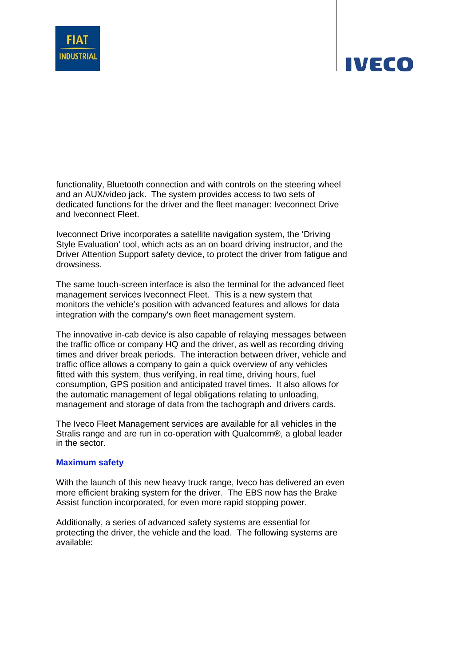



functionality, Bluetooth connection and with controls on the steering wheel and an AUX/video jack. The system provides access to two sets of dedicated functions for the driver and the fleet manager: Iveconnect Drive and Iveconnect Fleet.

Iveconnect Drive incorporates a satellite navigation system, the 'Driving Style Evaluation' tool, which acts as an on board driving instructor, and the Driver Attention Support safety device, to protect the driver from fatigue and drowsiness.

The same touch-screen interface is also the terminal for the advanced fleet management services Iveconnect Fleet. This is a new system that monitors the vehicle's position with advanced features and allows for data integration with the company's own fleet management system.

The innovative in-cab device is also capable of relaying messages between the traffic office or company HQ and the driver, as well as recording driving times and driver break periods. The interaction between driver, vehicle and traffic office allows a company to gain a quick overview of any vehicles fitted with this system, thus verifying, in real time, driving hours, fuel consumption, GPS position and anticipated travel times. It also allows for the automatic management of legal obligations relating to unloading, management and storage of data from the tachograph and drivers cards.

The Iveco Fleet Management services are available for all vehicles in the Stralis range and are run in co-operation with Qualcomm®, a global leader in the sector.

### **Maximum safety**

With the launch of this new heavy truck range, Iveco has delivered an even more efficient braking system for the driver. The EBS now has the Brake Assist function incorporated, for even more rapid stopping power.

Additionally, a series of advanced safety systems are essential for protecting the driver, the vehicle and the load. The following systems are available: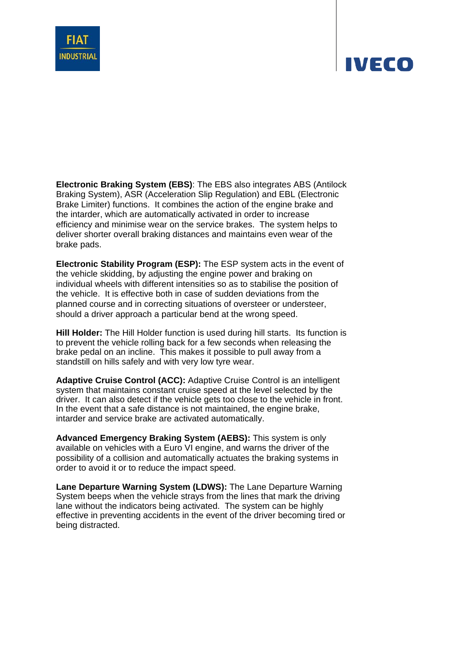

**Electronic Braking System (EBS)**: The EBS also integrates ABS (Antilock Braking System), ASR (Acceleration Slip Regulation) and EBL (Electronic Brake Limiter) functions. It combines the action of the engine brake and the intarder, which are automatically activated in order to increase efficiency and minimise wear on the service brakes. The system helps to deliver shorter overall braking distances and maintains even wear of the brake pads.

**Electronic Stability Program (ESP):** The ESP system acts in the event of the vehicle skidding, by adjusting the engine power and braking on individual wheels with different intensities so as to stabilise the position of the vehicle. It is effective both in case of sudden deviations from the planned course and in correcting situations of oversteer or understeer, should a driver approach a particular bend at the wrong speed.

**Hill Holder:** The Hill Holder function is used during hill starts. Its function is to prevent the vehicle rolling back for a few seconds when releasing the brake pedal on an incline. This makes it possible to pull away from a standstill on hills safely and with very low tyre wear.

**Adaptive Cruise Control (ACC):** Adaptive Cruise Control is an intelligent system that maintains constant cruise speed at the level selected by the driver. It can also detect if the vehicle gets too close to the vehicle in front. In the event that a safe distance is not maintained, the engine brake, intarder and service brake are activated automatically.

**Advanced Emergency Braking System (AEBS):** This system is only available on vehicles with a Euro VI engine, and warns the driver of the possibility of a collision and automatically actuates the braking systems in order to avoid it or to reduce the impact speed.

**Lane Departure Warning System (LDWS):** The Lane Departure Warning System beeps when the vehicle strays from the lines that mark the driving lane without the indicators being activated. The system can be highly effective in preventing accidents in the event of the driver becoming tired or being distracted.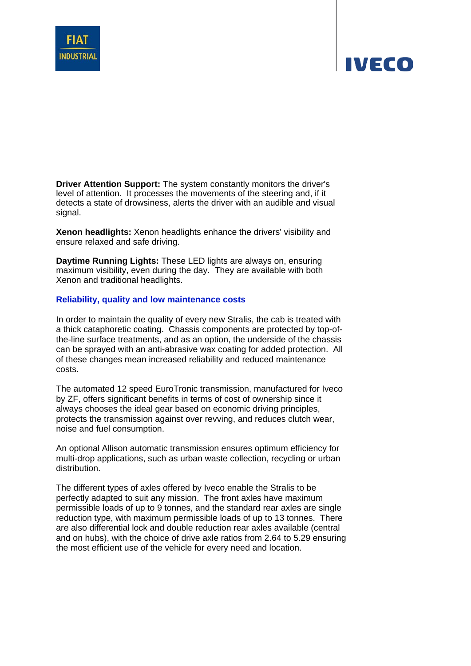



**Driver Attention Support:** The system constantly monitors the driver's level of attention. It processes the movements of the steering and, if it detects a state of drowsiness, alerts the driver with an audible and visual signal.

**Xenon headlights:** Xenon headlights enhance the drivers' visibility and ensure relaxed and safe driving.

**Daytime Running Lights:** These LED lights are always on, ensuring maximum visibility, even during the day. They are available with both Xenon and traditional headlights.

### **Reliability, quality and low maintenance costs**

In order to maintain the quality of every new Stralis, the cab is treated with a thick cataphoretic coating. Chassis components are protected by top-ofthe-line surface treatments, and as an option, the underside of the chassis can be sprayed with an anti-abrasive wax coating for added protection. All of these changes mean increased reliability and reduced maintenance costs.

The automated 12 speed EuroTronic transmission, manufactured for Iveco by ZF, offers significant benefits in terms of cost of ownership since it always chooses the ideal gear based on economic driving principles, protects the transmission against over revving, and reduces clutch wear, noise and fuel consumption.

An optional Allison automatic transmission ensures optimum efficiency for multi-drop applications, such as urban waste collection, recycling or urban distribution.

The different types of axles offered by Iveco enable the Stralis to be perfectly adapted to suit any mission. The front axles have maximum permissible loads of up to 9 tonnes, and the standard rear axles are single reduction type, with maximum permissible loads of up to 13 tonnes. There are also differential lock and double reduction rear axles available (central and on hubs), with the choice of drive axle ratios from 2.64 to 5.29 ensuring the most efficient use of the vehicle for every need and location.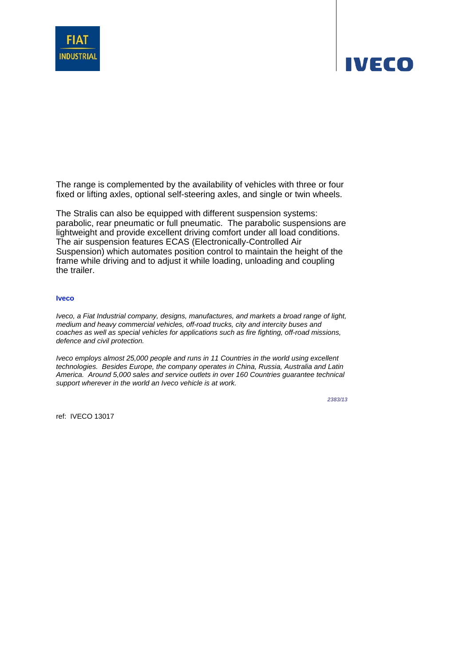

The range is complemented by the availability of vehicles with three or four fixed or lifting axles, optional self-steering axles, and single or twin wheels.

The Stralis can also be equipped with different suspension systems: parabolic, rear pneumatic or full pneumatic. The parabolic suspensions are lightweight and provide excellent driving comfort under all load conditions. The air suspension features ECAS (Electronically-Controlled Air Suspension) which automates position control to maintain the height of the frame while driving and to adjust it while loading, unloading and coupling the trailer.

#### **Iveco**

*Iveco, a Fiat Industrial company, designs, manufactures, and markets a broad range of light, medium and heavy commercial vehicles, off-road trucks, city and intercity buses and coaches as well as special vehicles for applications such as fire fighting, off-road missions, defence and civil protection.* 

*Iveco employs almost 25,000 people and runs in 11 Countries in the world using excellent technologies. Besides Europe, the company operates in China, Russia, Australia and Latin America. Around 5,000 sales and service outlets in over 160 Countries guarantee technical support wherever in the world an Iveco vehicle is at work.* 

*2383/13*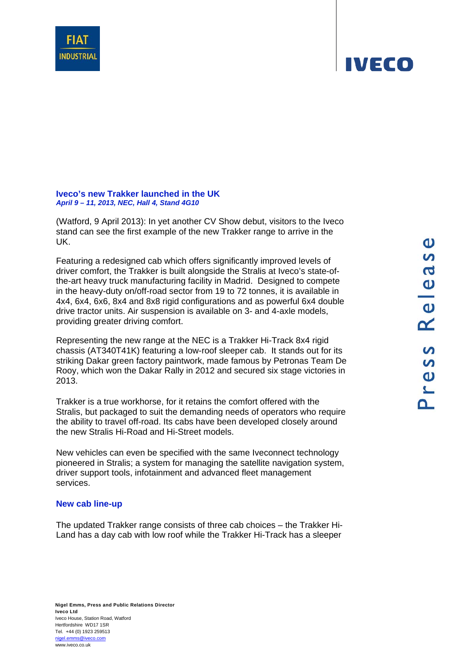**Iveco's new Trakker launched in the UK**  *April 9 – 11, 2013, NEC, Hall 4, Stand 4G10*

(Watford, 9 April 2013): In yet another CV Show debut, visitors to the Iveco stand can see the first example of the new Trakker range to arrive in the UK.

Featuring a redesigned cab which offers significantly improved levels of driver comfort, the Trakker is built alongside the Stralis at Iveco's state-ofthe-art heavy truck manufacturing facility in Madrid. Designed to compete in the heavy-duty on/off-road sector from 19 to 72 tonnes, it is available in 4x4, 6x4, 6x6, 8x4 and 8x8 rigid configurations and as powerful 6x4 double drive tractor units. Air suspension is available on 3- and 4-axle models, providing greater driving comfort.

Representing the new range at the NEC is a Trakker Hi-Track 8x4 rigid chassis (AT340T41K) featuring a low-roof sleeper cab. It stands out for its striking Dakar green factory paintwork, made famous by Petronas Team De Rooy, which won the Dakar Rally in 2012 and secured six stage victories in 2013.

Trakker is a true workhorse, for it retains the comfort offered with the Stralis, but packaged to suit the demanding needs of operators who require the ability to travel off-road. Its cabs have been developed closely around the new Stralis Hi-Road and Hi-Street models.

New vehicles can even be specified with the same Iveconnect technology pioneered in Stralis; a system for managing the satellite navigation system, driver support tools, infotainment and advanced fleet management services.

### **New cab line-up**

The updated Trakker range consists of three cab choices – the Trakker Hi-Land has a day cab with low roof while the Trakker Hi-Track has a sleeper



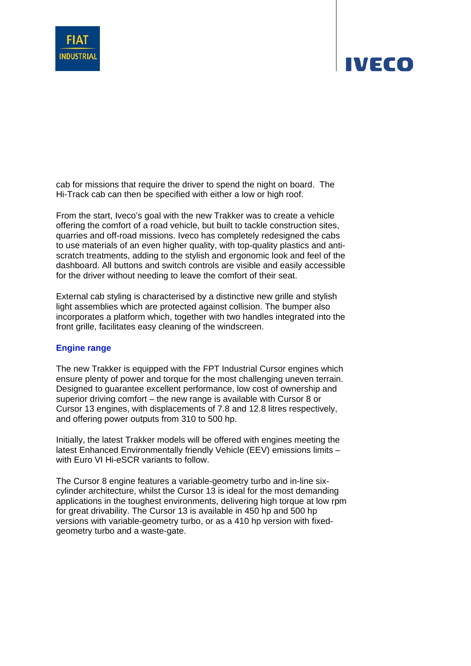

cab for missions that require the driver to spend the night on board. The Hi-Track cab can then be specified with either a low or high roof.

From the start, Iveco's goal with the new Trakker was to create a vehicle offering the comfort of a road vehicle, but built to tackle construction sites, quarries and off-road missions. Iveco has completely redesigned the cabs to use materials of an even higher quality, with top-quality plastics and antiscratch treatments, adding to the stylish and ergonomic look and feel of the dashboard. All buttons and switch controls are visible and easily accessible for the driver without needing to leave the comfort of their seat.

External cab styling is characterised by a distinctive new grille and stylish light assemblies which are protected against collision. The bumper also incorporates a platform which, together with two handles integrated into the front grille, facilitates easy cleaning of the windscreen.

### **Engine range**

The new Trakker is equipped with the FPT Industrial Cursor engines which ensure plenty of power and torque for the most challenging uneven terrain. Designed to guarantee excellent performance, low cost of ownership and superior driving comfort – the new range is available with Cursor 8 or Cursor 13 engines, with displacements of 7.8 and 12.8 litres respectively, and offering power outputs from 310 to 500 hp.

Initially, the latest Trakker models will be offered with engines meeting the latest Enhanced Environmentally friendly Vehicle (EEV) emissions limits – with Euro VI Hi-eSCR variants to follow.

The Cursor 8 engine features a variable-geometry turbo and in-line sixcylinder architecture, whilst the Cursor 13 is ideal for the most demanding applications in the toughest environments, delivering high torque at low rpm for great drivability. The Cursor 13 is available in 450 hp and 500 hp versions with variable-geometry turbo, or as a 410 hp version with fixedgeometry turbo and a waste-gate.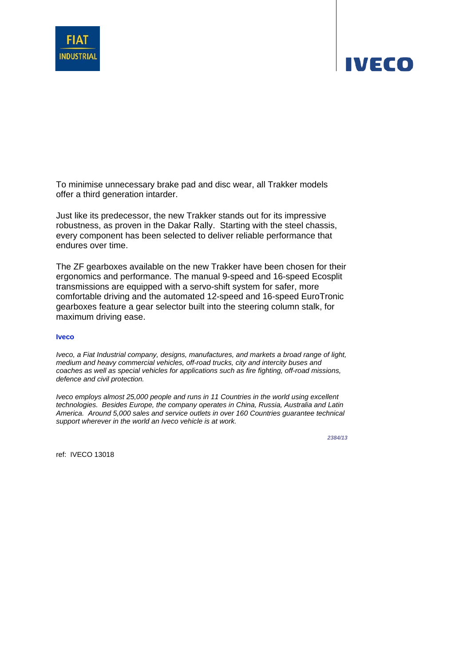



Just like its predecessor, the new Trakker stands out for its impressive robustness, as proven in the Dakar Rally. Starting with the steel chassis, every component has been selected to deliver reliable performance that endures over time.

The ZF gearboxes available on the new Trakker have been chosen for their ergonomics and performance. The manual 9-speed and 16-speed Ecosplit transmissions are equipped with a servo-shift system for safer, more comfortable driving and the automated 12-speed and 16-speed EuroTronic gearboxes feature a gear selector built into the steering column stalk, for maximum driving ease.

#### **Iveco**

*Iveco, a Fiat Industrial company, designs, manufactures, and markets a broad range of light, medium and heavy commercial vehicles, off-road trucks, city and intercity buses and coaches as well as special vehicles for applications such as fire fighting, off-road missions, defence and civil protection.* 

*Iveco employs almost 25,000 people and runs in 11 Countries in the world using excellent technologies. Besides Europe, the company operates in China, Russia, Australia and Latin America. Around 5,000 sales and service outlets in over 160 Countries guarantee technical support wherever in the world an Iveco vehicle is at work.* 

*2384/13*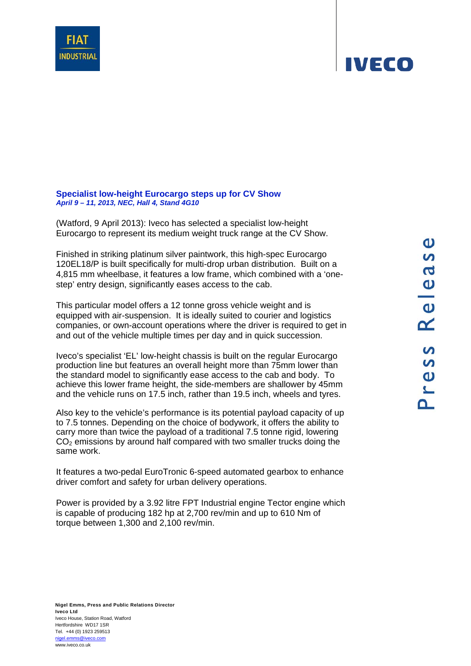### **Specialist low-height Eurocargo steps up for CV Show**  *April 9 – 11, 2013, NEC, Hall 4, Stand 4G10*

(Watford, 9 April 2013): Iveco has selected a specialist low-height Eurocargo to represent its medium weight truck range at the CV Show.

Finished in striking platinum silver paintwork, this high-spec Eurocargo 120EL18/P is built specifically for multi-drop urban distribution. Built on a 4,815 mm wheelbase, it features a low frame, which combined with a 'onestep' entry design, significantly eases access to the cab.

This particular model offers a 12 tonne gross vehicle weight and is equipped with air-suspension. It is ideally suited to courier and logistics companies, or own-account operations where the driver is required to get in and out of the vehicle multiple times per day and in quick succession.

Iveco's specialist 'EL' low-height chassis is built on the regular Eurocargo production line but features an overall height more than 75mm lower than the standard model to significantly ease access to the cab and body. To achieve this lower frame height, the side-members are shallower by 45mm and the vehicle runs on 17.5 inch, rather than 19.5 inch, wheels and tyres.

Also key to the vehicle's performance is its potential payload capacity of up to 7.5 tonnes. Depending on the choice of bodywork, it offers the ability to carry more than twice the payload of a traditional 7.5 tonne rigid, lowering  $CO<sub>2</sub>$  emissions by around half compared with two smaller trucks doing the same work.

It features a two-pedal EuroTronic 6-speed automated gearbox to enhance driver comfort and safety for urban delivery operations.

Power is provided by a 3.92 litre FPT Industrial engine Tector engine which is capable of producing 182 hp at 2,700 rev/min and up to 610 Nm of torque between 1,300 and 2,100 rev/min.



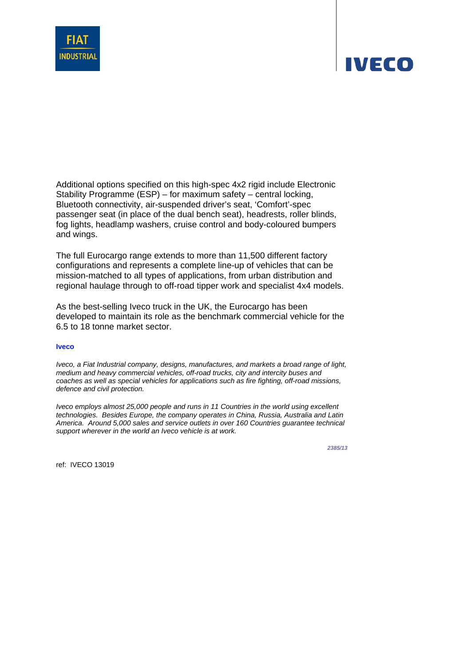

Additional options specified on this high-spec 4x2 rigid include Electronic Stability Programme (ESP) – for maximum safety – central locking, Bluetooth connectivity, air-suspended driver's seat, 'Comfort'-spec passenger seat (in place of the dual bench seat), headrests, roller blinds, fog lights, headlamp washers, cruise control and body-coloured bumpers and wings.

The full Eurocargo range extends to more than 11,500 different factory configurations and represents a complete line-up of vehicles that can be mission-matched to all types of applications, from urban distribution and regional haulage through to off-road tipper work and specialist 4x4 models.

As the best-selling Iveco truck in the UK, the Eurocargo has been developed to maintain its role as the benchmark commercial vehicle for the 6.5 to 18 tonne market sector.

#### **Iveco**

*Iveco, a Fiat Industrial company, designs, manufactures, and markets a broad range of light, medium and heavy commercial vehicles, off-road trucks, city and intercity buses and coaches as well as special vehicles for applications such as fire fighting, off-road missions, defence and civil protection.* 

*Iveco employs almost 25,000 people and runs in 11 Countries in the world using excellent technologies. Besides Europe, the company operates in China, Russia, Australia and Latin America. Around 5,000 sales and service outlets in over 160 Countries guarantee technical support wherever in the world an Iveco vehicle is at work.* 

*2385/13*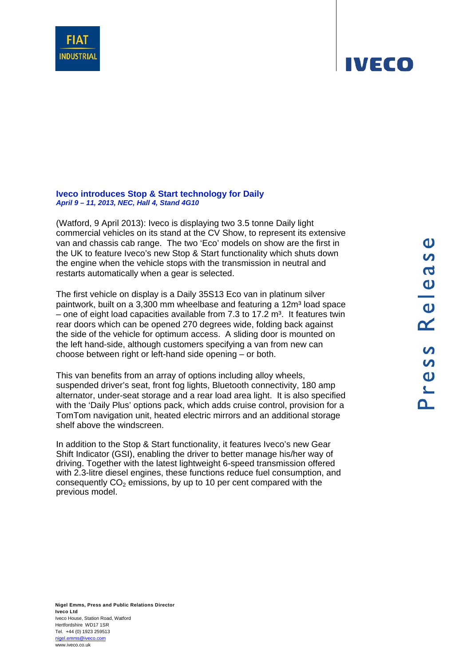**Iveco introduces Stop & Start technology for Daily**  *April 9 – 11, 2013, NEC, Hall 4, Stand 4G10*

(Watford, 9 April 2013): Iveco is displaying two 3.5 tonne Daily light commercial vehicles on its stand at the CV Show, to represent its extensive van and chassis cab range. The two 'Eco' models on show are the first in the UK to feature Iveco's new Stop & Start functionality which shuts down the engine when the vehicle stops with the transmission in neutral and restarts automatically when a gear is selected.

The first vehicle on display is a Daily 35S13 Eco van in platinum silver paintwork, built on a 3,300 mm wheelbase and featuring a 12m<sup>3</sup> load space – one of eight load capacities available from 7.3 to 17.2  $m<sup>3</sup>$ . It features twin rear doors which can be opened 270 degrees wide, folding back against the side of the vehicle for optimum access. A sliding door is mounted on the left hand-side, although customers specifying a van from new can choose between right or left-hand side opening – or both.

This van benefits from an array of options including alloy wheels, suspended driver's seat, front fog lights, Bluetooth connectivity, 180 amp alternator, under-seat storage and a rear load area light. It is also specified with the 'Daily Plus' options pack, which adds cruise control, provision for a TomTom navigation unit, heated electric mirrors and an additional storage shelf above the windscreen.

In addition to the Stop & Start functionality, it features Iveco's new Gear Shift Indicator (GSI), enabling the driver to better manage his/her way of driving. Together with the latest lightweight 6-speed transmission offered with 2.3-litre diesel engines, these functions reduce fuel consumption, and consequently  $CO<sub>2</sub>$  emissions, by up to 10 per cent compared with the previous model.